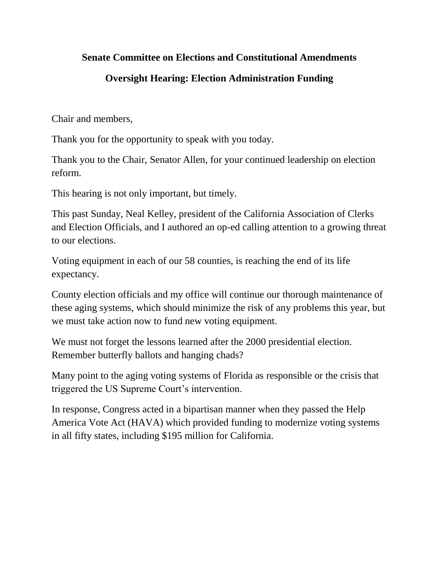## **Senate Committee on Elections and Constitutional Amendments**

## **Oversight Hearing: Election Administration Funding**

Chair and members,

Thank you for the opportunity to speak with you today.

Thank you to the Chair, Senator Allen, for your continued leadership on election reform.

This hearing is not only important, but timely.

This past Sunday, Neal Kelley, president of the California Association of Clerks and Election Officials, and I authored an op-ed calling attention to a growing threat to our elections.

Voting equipment in each of our 58 counties, is reaching the end of its life expectancy.

County election officials and my office will continue our thorough maintenance of these aging systems, which should minimize the risk of any problems this year, but we must take action now to fund new voting equipment.

We must not forget the lessons learned after the 2000 presidential election. Remember butterfly ballots and hanging chads?

Many point to the aging voting systems of Florida as responsible or the crisis that triggered the US Supreme Court's intervention.

In response, Congress acted in a bipartisan manner when they passed the Help America Vote Act (HAVA) which provided funding to modernize voting systems in all fifty states, including \$195 million for California.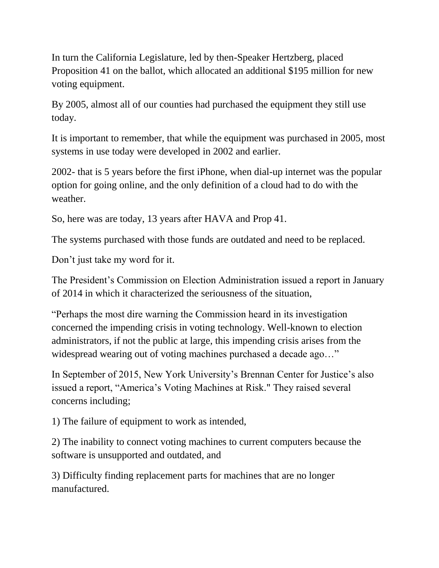In turn the California Legislature, led by then-Speaker Hertzberg, placed Proposition 41 on the ballot, which allocated an additional \$195 million for new voting equipment.

By 2005, almost all of our counties had purchased the equipment they still use today.

It is important to remember, that while the equipment was purchased in 2005, most systems in use today were developed in 2002 and earlier.

2002- that is 5 years before the first iPhone, when dial-up internet was the popular option for going online, and the only definition of a cloud had to do with the weather.

So, here was are today, 13 years after HAVA and Prop 41.

The systems purchased with those funds are outdated and need to be replaced.

Don't just take my word for it.

The President's Commission on Election Administration issued a report in January of 2014 in which it characterized the seriousness of the situation,

"Perhaps the most dire warning the Commission heard in its investigation concerned the impending crisis in voting technology. Well-known to election administrators, if not the public at large, this impending crisis arises from the widespread wearing out of voting machines purchased a decade ago..."

In September of 2015, New York University's Brennan Center for Justice's also issued a report, "America's Voting Machines at Risk." They raised several concerns including;

1) The failure of equipment to work as intended,

2) The inability to connect voting machines to current computers because the software is unsupported and outdated, and

3) Difficulty finding replacement parts for machines that are no longer manufactured.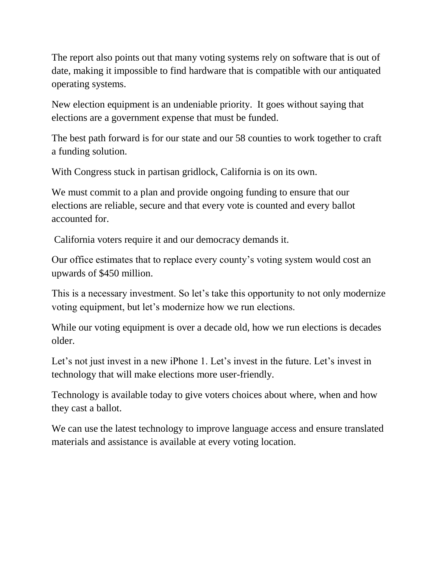The report also points out that many voting systems rely on software that is out of date, making it impossible to find hardware that is compatible with our antiquated operating systems.

New election equipment is an undeniable priority. It goes without saying that elections are a government expense that must be funded.

The best path forward is for our state and our 58 counties to work together to craft a funding solution.

With Congress stuck in partisan gridlock, California is on its own.

We must commit to a plan and provide ongoing funding to ensure that our elections are reliable, secure and that every vote is counted and every ballot accounted for.

California voters require it and our democracy demands it.

Our office estimates that to replace every county's voting system would cost an upwards of \$450 million.

This is a necessary investment. So let's take this opportunity to not only modernize voting equipment, but let's modernize how we run elections.

While our voting equipment is over a decade old, how we run elections is decades older.

Let's not just invest in a new iPhone 1. Let's invest in the future. Let's invest in technology that will make elections more user-friendly.

Technology is available today to give voters choices about where, when and how they cast a ballot.

We can use the latest technology to improve language access and ensure translated materials and assistance is available at every voting location.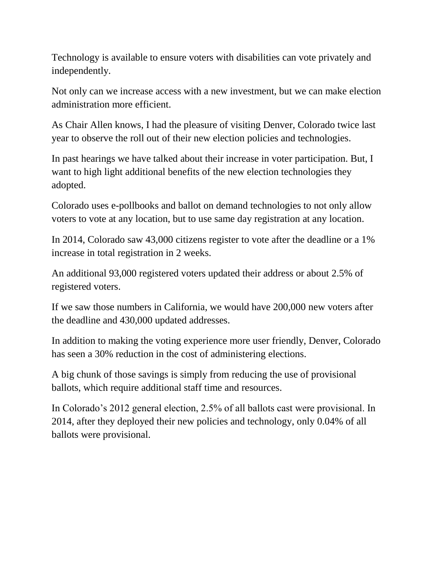Technology is available to ensure voters with disabilities can vote privately and independently.

Not only can we increase access with a new investment, but we can make election administration more efficient.

As Chair Allen knows, I had the pleasure of visiting Denver, Colorado twice last year to observe the roll out of their new election policies and technologies.

In past hearings we have talked about their increase in voter participation. But, I want to high light additional benefits of the new election technologies they adopted.

Colorado uses e-pollbooks and ballot on demand technologies to not only allow voters to vote at any location, but to use same day registration at any location.

In 2014, Colorado saw 43,000 citizens register to vote after the deadline or a 1% increase in total registration in 2 weeks.

An additional 93,000 registered voters updated their address or about 2.5% of registered voters.

If we saw those numbers in California, we would have 200,000 new voters after the deadline and 430,000 updated addresses.

In addition to making the voting experience more user friendly, Denver, Colorado has seen a 30% reduction in the cost of administering elections.

A big chunk of those savings is simply from reducing the use of provisional ballots, which require additional staff time and resources.

In Colorado's 2012 general election, 2.5% of all ballots cast were provisional. In 2014, after they deployed their new policies and technology, only 0.04% of all ballots were provisional.